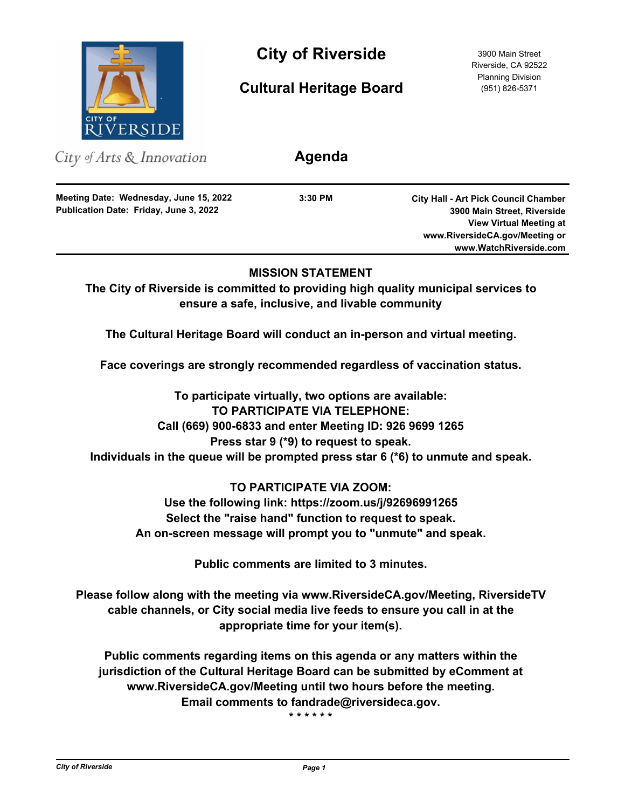

City of Riverside 3900 Main Street

**Cultural Heritage Board**

Riverside, CA 92522 Planning Division (951) 826-5371

| City of Arts $\&$ Innovation                                                     | Agenda    |                                                                            |
|----------------------------------------------------------------------------------|-----------|----------------------------------------------------------------------------|
| Meeting Date: Wednesday, June 15, 2022<br>Publication Date: Friday, June 3, 2022 | $3:30$ PM | <b>City Hall - Art Pick Council Chamber</b><br>3900 Main Street, Riverside |
|                                                                                  |           | <b>View Virtual Meeting at</b>                                             |
|                                                                                  |           | www.RiversideCA.gov/Meeting or                                             |
|                                                                                  |           | www.WatchRiverside.com                                                     |
|                                                                                  |           |                                                                            |

# **MISSION STATEMENT**

**The City of Riverside is committed to providing high quality municipal services to ensure a safe, inclusive, and livable community**

**The Cultural Heritage Board will conduct an in-person and virtual meeting.**

**Face coverings are strongly recommended regardless of vaccination status.**

**To participate virtually, two options are available: TO PARTICIPATE VIA TELEPHONE: Call (669) 900-6833 and enter Meeting ID: 926 9699 1265 Press star 9 (\*9) to request to speak. Individuals in the queue will be prompted press star 6 (\*6) to unmute and speak.**

# **TO PARTICIPATE VIA ZOOM:**

**Use the following link: https://zoom.us/j/92696991265 Select the "raise hand" function to request to speak. An on-screen message will prompt you to "unmute" and speak.**

**Public comments are limited to 3 minutes.**

**Please follow along with the meeting via www.RiversideCA.gov/Meeting, RiversideTV cable channels, or City social media live feeds to ensure you call in at the appropriate time for your item(s).** 

**Public comments regarding items on this agenda or any matters within the jurisdiction of the Cultural Heritage Board can be submitted by eComment at www.RiversideCA.gov/Meeting until two hours before the meeting. Email comments to fandrade@riversideca.gov.**

**\* \* \* \* \* \***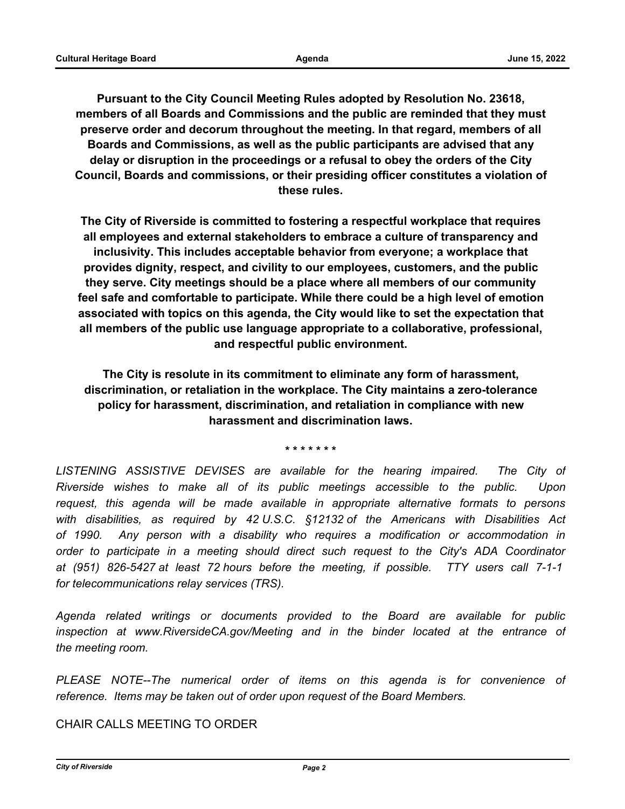**Pursuant to the City Council Meeting Rules adopted by Resolution No. 23618, members of all Boards and Commissions and the public are reminded that they must preserve order and decorum throughout the meeting. In that regard, members of all Boards and Commissions, as well as the public participants are advised that any delay or disruption in the proceedings or a refusal to obey the orders of the City Council, Boards and commissions, or their presiding officer constitutes a violation of these rules.**

**The City of Riverside is committed to fostering a respectful workplace that requires all employees and external stakeholders to embrace a culture of transparency and inclusivity. This includes acceptable behavior from everyone; a workplace that provides dignity, respect, and civility to our employees, customers, and the public they serve. City meetings should be a place where all members of our community feel safe and comfortable to participate. While there could be a high level of emotion associated with topics on this agenda, the City would like to set the expectation that all members of the public use language appropriate to a collaborative, professional, and respectful public environment.**

**The City is resolute in its commitment to eliminate any form of harassment, discrimination, or retaliation in the workplace. The City maintains a zero-tolerance policy for harassment, discrimination, and retaliation in compliance with new harassment and discrimination laws.**

**\* \* \* \* \* \* \***

LISTENING ASSISTIVE DEVISES are available for the hearing impaired. The City of *Riverside wishes to make all of its public meetings accessible to the public. Upon request, this agenda will be made available in appropriate alternative formats to persons with disabilities, as required by 42 U.S.C. §12132 of the Americans with Disabilities Act of 1990. Any person with a disability who requires a modification or accommodation in order to participate in a meeting should direct such request to the City's ADA Coordinator at (951) 826-5427 at least 72 hours before the meeting, if possible. TTY users call 7-1-1 for telecommunications relay services (TRS).*

*Agenda related writings or documents provided to the Board are available for public inspection at www.RiversideCA.gov/Meeting and in the binder located at the entrance of the meeting room.*

*PLEASE NOTE--The numerical order of items on this agenda is for convenience of reference. Items may be taken out of order upon request of the Board Members.*

CHAIR CALLS MEETING TO ORDER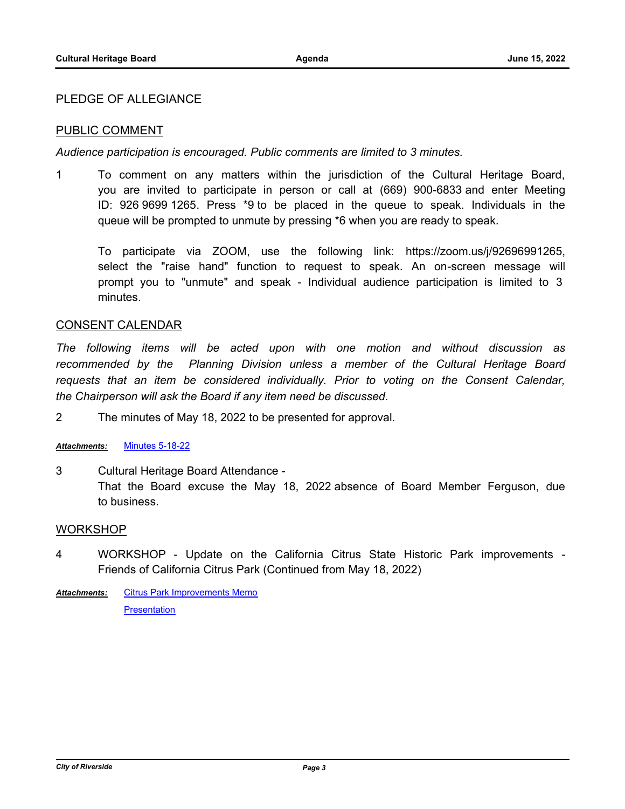### PLEDGE OF ALLEGIANCE

## PUBLIC COMMENT

*Audience participation is encouraged. Public comments are limited to 3 minutes.*

1 To comment on any matters within the jurisdiction of the Cultural Heritage Board, you are invited to participate in person or call at (669) 900-6833 and enter Meeting ID: 926 9699 1265. Press \*9 to be placed in the queue to speak. Individuals in the queue will be prompted to unmute by pressing \*6 when you are ready to speak.

To participate via ZOOM, use the following link: https://zoom.us/j/92696991265, select the "raise hand" function to request to speak. An on-screen message will prompt you to "unmute" and speak - Individual audience participation is limited to 3 minutes.

#### CONSENT CALENDAR

*The following items will be acted upon with one motion and without discussion as recommended by the Planning Division unless a member of the Cultural Heritage Board*  requests that an item be considered individually. Prior to voting on the Consent Calendar, *the Chairperson will ask the Board if any item need be discussed.*

2 The minutes of May 18, 2022 to be presented for approval.

#### *Attachments:* [Minutes 5-18-22](http://riversideca.legistar.com/gateway.aspx?M=F&ID=5e31f997-168f-402e-b69d-408ea7809706.pdf)

3 Cultural Heritage Board Attendance - That the Board excuse the May 18, 2022 absence of Board Member Ferguson, due to business.

#### WORKSHOP

4 WORKSHOP - Update on the California Citrus State Historic Park improvements - Friends of California Citrus Park (Continued from May 18, 2022)

[Citrus Park Improvements Memo](http://riversideca.legistar.com/gateway.aspx?M=F&ID=b501ff76-0b96-4756-a5ef-492f77e35056.pdf) **[Presentation](http://riversideca.legistar.com/gateway.aspx?M=F&ID=3a70a20d-37d5-4768-be92-ed021141de6e.pdf)** *Attachments:*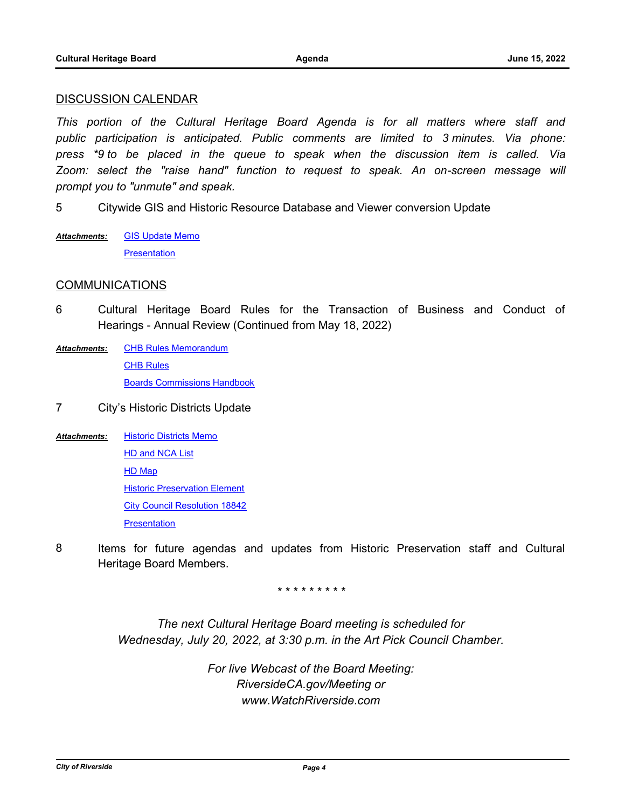#### DISCUSSION CALENDAR

*This portion of the Cultural Heritage Board Agenda is for all matters where staff and public participation is anticipated. Public comments are limited to 3 minutes. Via phone: press \*9 to be placed in the queue to speak when the discussion item is called. Via*  Zoom: select the "raise hand" function to request to speak. An on-screen message will *prompt you to "unmute" and speak.*

5 Citywide GIS and Historic Resource Database and Viewer conversion Update

**[GIS Update Memo](http://riversideca.legistar.com/gateway.aspx?M=F&ID=7986a465-d892-4116-b65b-b9b379c719c9.pdf) [Presentation](http://riversideca.legistar.com/gateway.aspx?M=F&ID=17696ba1-2d57-4b49-a150-f2bce4155ff2.pdf)** *Attachments:*

## COMMUNICATIONS

- 6 Cultural Heritage Board Rules for the Transaction of Business and Conduct of Hearings - Annual Review (Continued from May 18, 2022)
- [CHB Rules Memorandum](http://riversideca.legistar.com/gateway.aspx?M=F&ID=bb4abaea-e529-4428-ab59-c677995c3eed.pdf) **[CHB Rules](http://riversideca.legistar.com/gateway.aspx?M=F&ID=16d8feff-8e88-472d-a7cf-97119854ebe0.pdf)** [Boards Commissions Handbook](http://riversideca.legistar.com/gateway.aspx?M=F&ID=c8fdbeef-6b75-4266-9584-0ff037cec293.pdf) *Attachments:*
- 7 City's Historic Districts Update
- [Historic Districts Memo](http://riversideca.legistar.com/gateway.aspx?M=F&ID=2443573d-3e73-47e7-a53d-1f0f84ca507a.pdf) [HD and NCA List](http://riversideca.legistar.com/gateway.aspx?M=F&ID=8e9aecee-4a62-4c3c-a25b-efa4f5bd7c9d.pdf) [HD Map](http://riversideca.legistar.com/gateway.aspx?M=F&ID=09e4c401-08e3-4107-9ada-2571ce0be88a.pdf) [Historic Preservation Element](http://riversideca.legistar.com/gateway.aspx?M=F&ID=041ca557-b8f0-4d5f-8037-42b593ebdf27.pdf) [City Council Resolution 18842](http://riversideca.legistar.com/gateway.aspx?M=F&ID=69c22435-8780-4a9a-bb59-337e0f8d0b1c.pdf) **[Presentation](http://riversideca.legistar.com/gateway.aspx?M=F&ID=9dee5ce8-7b34-4ff6-ad91-af29e0ae2276.pdf)** *Attachments:*
- 8 Items for future agendas and updates from Historic Preservation staff and Cultural Heritage Board Members.

*\* \* \* \* \* \* \* \* \**

*The next Cultural Heritage Board meeting is scheduled for Wednesday, July 20, 2022, at 3:30 p.m. in the Art Pick Council Chamber.*

> *For live Webcast of the Board Meeting: RiversideCA.gov/Meeting or www.WatchRiverside.com*